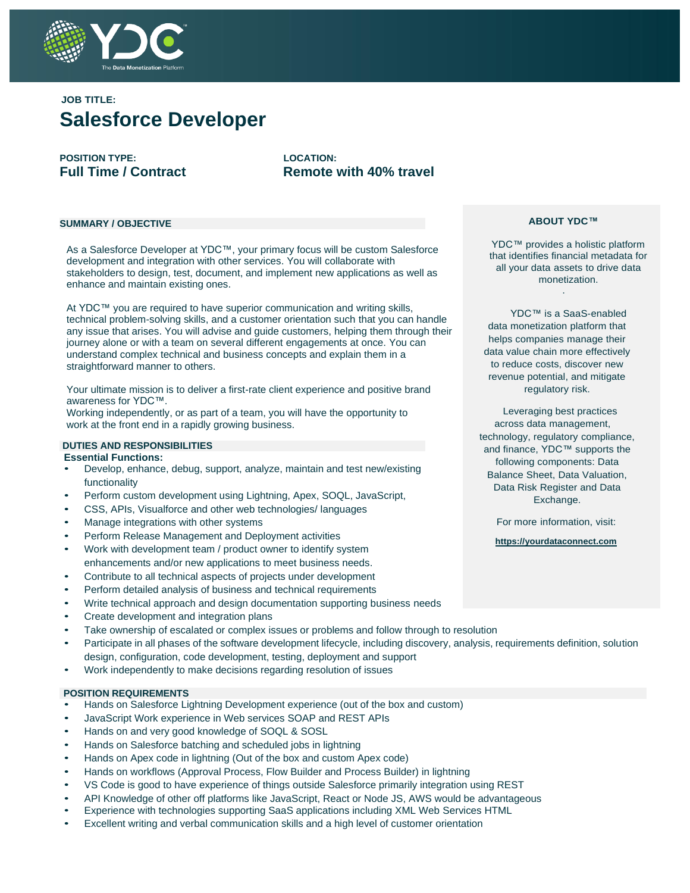

# **JOB TITLE: Salesforce Developer**

**POSITION TYPE: LOCATION:**

**Full Time / Contract Remote with 40% travel** 

#### **SUMMARY / OBJECTIVE**

As a Salesforce Developer at YDC™, your primary focus will be custom Salesforce development and integration with other services. You will collaborate with stakeholders to design, test, document, and implement new applications as well as enhance and maintain existing ones.

At YDC™ you are required to have superior communication and writing skills, technical problem-solving skills, and a customer orientation such that you can handle any issue that arises. You will advise and guide customers, helping them through their journey alone or with a team on several different engagements at once. You can understand complex technical and business concepts and explain them in a straightforward manner to others.

Your ultimate mission is to deliver a first-rate client experience and positive brand awareness for YDC™.

Working independently, or as part of a team, you will have the opportunity to work at the front end in a rapidly growing business.

#### **DUTIES AND RESPONSIBILITIES Essential Functions:**

- Develop, enhance, debug, support, analyze, maintain and test new/existing functionality
- Perform custom development using Lightning, Apex, SOQL, JavaScript,
- CSS, APIs, Visualforce and other web technologies/ languages
- Manage integrations with other systems
- Perform Release Management and Deployment activities
- Work with development team / product owner to identify system enhancements and/or new applications to meet business needs.
- Contribute to all technical aspects of projects under development
- Perform detailed analysis of business and technical requirements
- Write technical approach and design documentation supporting business needs
- Create development and integration plans
- Take ownership of escalated or complex issues or problems and follow through to resolution
- Participate in all phases of the software development lifecycle, including discovery, analysis, requirements definition, solution design, configuration, code development, testing, deployment and support
- Work independently to make decisions regarding resolution of issues

#### **POSITION REQUIREMENTS**

- Hands on Salesforce Lightning Development experience (out of the box and custom)
- JavaScript Work experience in Web services SOAP and REST APIs
- Hands on and very good knowledge of SOQL & SOSL
- Hands on Salesforce batching and scheduled jobs in lightning
- Hands on Apex code in lightning (Out of the box and custom Apex code)
- Hands on workflows (Approval Process, Flow Builder and Process Builder) in lightning
- VS Code is good to have experience of things outside Salesforce primarily integration using REST
- API Knowledge of other off platforms like JavaScript, React or Node JS, AWS would be advantageous
- Experience with technologies supporting SaaS applications including XML Web Services HTML
- Excellent writing and verbal communication skills and a high level of customer orientation

### **ABOUT YDC™**

YDC™ provides a holistic platform that identifies financial metadata for all your data assets to drive data monetization. .

YDC™ is a SaaS-enabled data monetization platform that helps companies manage their data value chain more effectively to reduce costs, discover new revenue potential, and mitigate regulatory risk.

Leveraging best practices across data management, technology, regulatory compliance, and finance, YDC™ supports the following components: Data Balance Sheet, Data Valuation, Data Risk Register and Data Exchange.

For more information, visit:

**https://yourdataconnect.com**